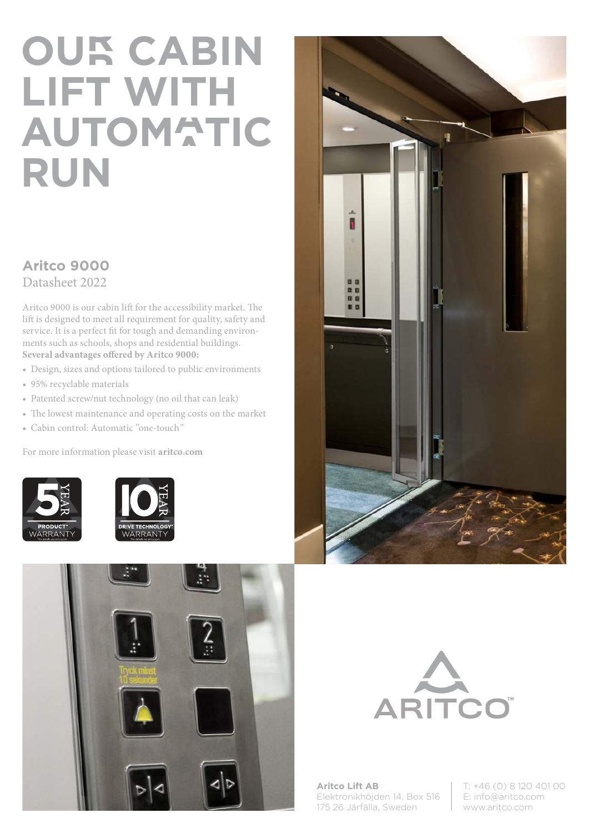## **OUR CABIN LIFT WITH AUTOMATIC RUN**

## **Aritco 9000** Datasheet 2022

Aritco 9000 is our cabin lift for the accessibility market. The lift is designed to meet all requirement for quality, safety and service. It is a perfect fit for tough and demanding environments such as schools, shops and residential buildings. **Several advantages offered by Aritco 9000:**

- Design, sizes and options tailored to public environments
- 95% recyclable materials
- Patented screw/nut technology (no oil that can leak)
- The lowest maintenance and operating costs on the market
- Cabin control: Automatic "one-touch"

For more information please visit **aritco.com**











**Aritco Lift AB** Elektronikhöjden 14, Box 516 175 26 Järfälla, Sweden

T: +46 (0) 8 120 401 00 E: info@aritco.com www.aritco.com